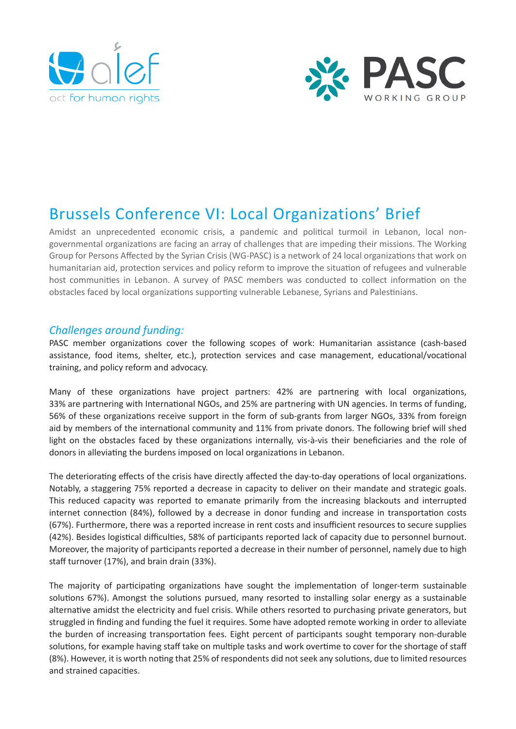



# Brussels Conference VI: Local Organizations' Brief

Amidst an unprecedented economic crisis, a pandemic and political turmoil in Lebanon, local nongovernmental organizations are facing an array of challenges that are impeding their missions. The Working Group for Persons Affected by the Syrian Crisis (WG-PASC) is a network of 24 local organizations that work on humanitarian aid, protection services and policy reform to improve the situation of refugees and vulnerable host communities in Lebanon. A survey of PASC members was conducted to collect information on the obstacles faced by local organizations supporting vulnerable Lebanese, Syrians and Palestinians.

## *Challenges around funding:*

PASC member organizations cover the following scopes of work: Humanitarian assistance (cash-based assistance, food items, shelter, etc.), protection services and case management, educational/vocational training, and policy reform and advocacy.

Many of these organizations have project partners: 42% are partnering with local organizations, 33% are partnering with International NGOs, and 25% are partnering with UN agencies. In terms of funding, 56% of these organizations receive support in the form of sub-grants from larger NGOs, 33% from foreign aid by members of the international community and 11% from private donors. The following brief will shed light on the obstacles faced by these organizations internally, vis-à-vis their beneficiaries and the role of donors in alleviating the burdens imposed on local organizations in Lebanon.

The deteriorating effects of the crisis have directly affected the day-to-day operations of local organizations. Notably, a staggering 75% reported a decrease in capacity to deliver on their mandate and strategic goals. This reduced capacity was reported to emanate primarily from the increasing blackouts and interrupted internet connection (84%), followed by a decrease in donor funding and increase in transportation costs (67%). Furthermore, there was a reported increase in rent costs and insufficient resources to secure supplies (42%). Besides logistical difficulties, 58% of participants reported lack of capacity due to personnel burnout. Moreover, the majority of participants reported a decrease in their number of personnel, namely due to high staff turnover (17%), and brain drain (33%).

The majority of participating organizations have sought the implementation of longer-term sustainable solutions 67%). Amongst the solutions pursued, many resorted to installing solar energy as a sustainable alternative amidst the electricity and fuel crisis. While others resorted to purchasing private generators, but struggled in finding and funding the fuel it requires. Some have adopted remote working in order to alleviate the burden of increasing transportation fees. Eight percent of participants sought temporary non-durable solutions, for example having staff take on multiple tasks and work overtime to cover for the shortage of staff (8%). However, it is worth noting that 25% of respondents did not seek any solutions, due to limited resources and strained capacities.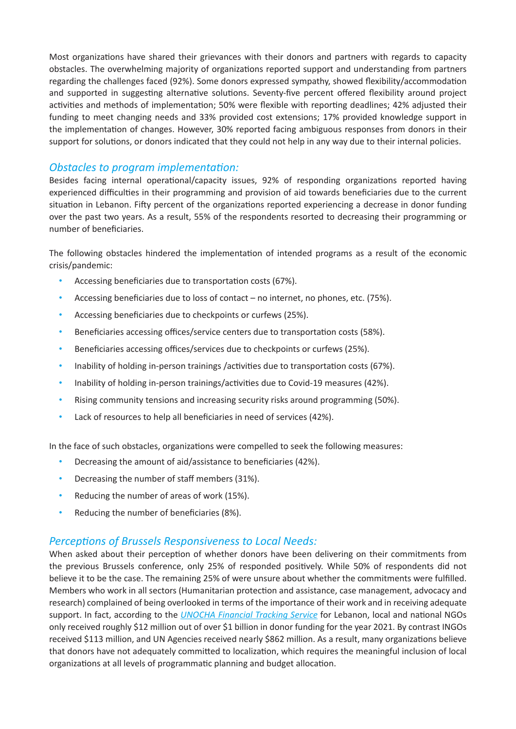Most organizations have shared their grievances with their donors and partners with regards to capacity obstacles. The overwhelming majority of organizations reported support and understanding from partners regarding the challenges faced (92%). Some donors expressed sympathy, showed flexibility/accommodation and supported in suggesting alternative solutions. Seventy-five percent offered flexibility around project activities and methods of implementation; 50% were flexible with reporting deadlines; 42% adjusted their funding to meet changing needs and 33% provided cost extensions; 17% provided knowledge support in the implementation of changes. However, 30% reported facing ambiguous responses from donors in their support for solutions, or donors indicated that they could not help in any way due to their internal policies.

#### *Obstacles to program implementation:*

Besides facing internal operational/capacity issues, 92% of responding organizations reported having experienced difficulties in their programming and provision of aid towards beneficiaries due to the current situation in Lebanon. Fifty percent of the organizations reported experiencing a decrease in donor funding over the past two years. As a result, 55% of the respondents resorted to decreasing their programming or number of beneficiaries.

The following obstacles hindered the implementation of intended programs as a result of the economic crisis/pandemic:

- Accessing beneficiaries due to transportation costs (67%).
- Accessing beneficiaries due to loss of contact no internet, no phones, etc. (75%).
- Accessing beneficiaries due to checkpoints or curfews (25%).
- Beneficiaries accessing offices/service centers due to transportation costs (58%).
- Beneficiaries accessing offices/services due to checkpoints or curfews (25%).
- Inability of holding in-person trainings /activities due to transportation costs (67%).
- Inability of holding in-person trainings/activities due to Covid-19 measures (42%).
- Rising community tensions and increasing security risks around programming (50%).
- Lack of resources to help all beneficiaries in need of services (42%).

In the face of such obstacles, organizations were compelled to seek the following measures:

- Decreasing the amount of aid/assistance to beneficiaries (42%).
- Decreasing the number of staff members (31%).
- Reducing the number of areas of work (15%).
- Reducing the number of beneficiaries (8%).

# *Perceptions of Brussels Responsiveness to Local Needs:*

When asked about their perception of whether donors have been delivering on their commitments from the previous Brussels conference, only 25% of responded positively. While 50% of respondents did not believe it to be the case. The remaining 25% of were unsure about whether the commitments were fulfilled. Members who work in all sectors (Humanitarian protection and assistance, case management, advocacy and research) complained of being overlooked in terms of the importance of their work and in receiving adequate support. In fact, according to the *[UNOCHA Financial Tracking Service](https://fts.unocha.org/countries/124/recipient-types/2021)* for Lebanon, local and national NGOs only received roughly \$12 million out of over \$1 billion in donor funding for the year 2021. By contrast INGOs received \$113 million, and UN Agencies received nearly \$862 million. As a result, many organizations believe that donors have not adequately committed to localization, which requires the meaningful inclusion of local organizations at all levels of programmatic planning and budget allocation.